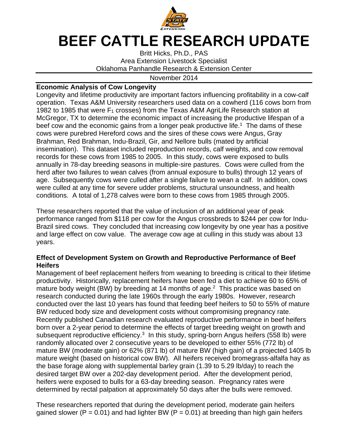

## **BEEF CATTLE RESEARCH UPDATE**

Britt Hicks, Ph.D., PAS Area Extension Livestock Specialist Oklahoma Panhandle Research & Extension Center

## November 2014

## **Economic Analysis of Cow Longevity**

Longevity and lifetime productivity are important factors influencing profitability in a cow-calf operation. Texas A&M University researchers used data on a cowherd (116 cows born from 1982 to 1985 that were  $F_1$  crosses) from the Texas A&M AgriLife Research station at McGregor, TX to determine the economic impact of increasing the productive lifespan of a beef cow and the economic gains from a longer peak productive life.<sup>1</sup> The dams of these cows were purebred Hereford cows and the sires of these cows were Angus, Gray Brahman, Red Brahman, Indu-Brazil, Gir, and Nellore bulls (mated by artificial insemination). This dataset included reproduction records, calf weights, and cow removal records for these cows from 1985 to 2005. In this study, cows were exposed to bulls annually in 78-day breeding seasons in multiple-sire pastures. Cows were culled from the herd after two failures to wean calves (from annual exposure to bulls) through 12 years of age. Subsequently cows were culled after a single failure to wean a calf. In addition, cows were culled at any time for severe udder problems, structural unsoundness, and health conditions. A total of 1,278 calves were born to these cows from 1985 through 2005.

These researchers reported that the value of inclusion of an additional year of peak performance ranged from \$118 per cow for the Angus crossbreds to \$244 per cow for Indu-Brazil sired cows. They concluded that increasing cow longevity by one year has a positive and large effect on cow value. The average cow age at culling in this study was about 13 years.

## **Effect of Development System on Growth and Reproductive Performance of Beef Heifers**

Management of beef replacement heifers from weaning to breeding is critical to their lifetime productivity. Historically, replacement heifers have been fed a diet to achieve 60 to 65% of mature body weight (BW) by breeding at 14 months of age. $<sup>2</sup>$  This practice was based on</sup> research conducted during the late 1960s through the early 1980s. However, research conducted over the last 10 years has found that feeding beef heifers to 50 to 55% of mature BW reduced body size and development costs without compromising pregnancy rate. Recently published Canadian research evaluated reproductive performance in beef heifers born over a 2-year period to determine the effects of target breeding weight on growth and subsequent reproductive efficiency.<sup>3</sup> In this study, spring-born Angus heifers (558 lb) were randomly allocated over 2 consecutive years to be developed to either 55% (772 lb) of mature BW (moderate gain) or 62% (871 lb) of mature BW (high gain) of a projected 1405 lb mature weight (based on historical cow BW). All heifers received bromegrass-alfalfa hay as the base forage along with supplemental barley grain (1.39 to 5.29 lb/day) to reach the desired target BW over a 202-day development period. After the development period, heifers were exposed to bulls for a 63-day breeding season. Pregnancy rates were determined by rectal palpation at approximately 50 days after the bulls were removed.

These researchers reported that during the development period, moderate gain heifers gained slower ( $P = 0.01$ ) and had lighter BW ( $P = 0.01$ ) at breeding than high gain heifers